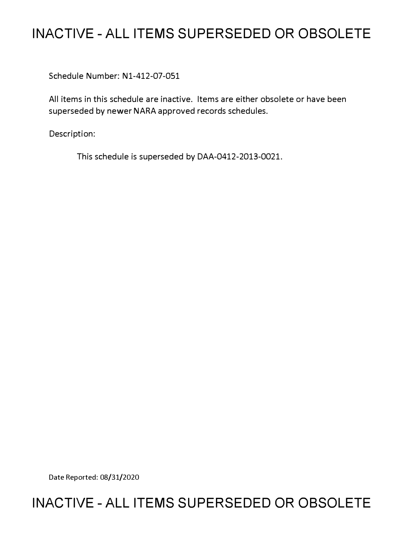# **INACTIVE - ALL ITEMS SUPERSEDED OR OBSOLETE**

Schedule Number: Nl-412-07-051

All items in this schedule are inactive. Items are either obsolete or have been superseded by newer NARA approved records schedules.

Description:

This schedule is superseded by DAA-0412-2013-0021.

Date Reported: 08/31/2020

# **INACTIVE - ALL ITEMS SUPERSEDED OR OBSOLETE**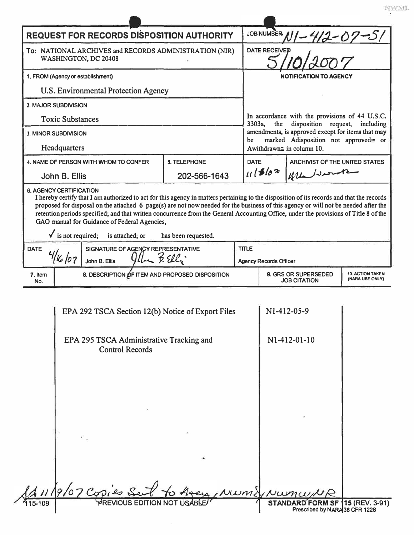| <b>REQUEST FOR RECORDS DISPOSITION AUTHORITY</b>                                                                                                                                                                                                                                                                                                                                                                                                                                                                                                       |                                                            |             | JOB NUMBER $N1 - 412 - 07 - 5$                                                                                                                                                                                                              |                                                 |                                  |  |
|--------------------------------------------------------------------------------------------------------------------------------------------------------------------------------------------------------------------------------------------------------------------------------------------------------------------------------------------------------------------------------------------------------------------------------------------------------------------------------------------------------------------------------------------------------|------------------------------------------------------------|-------------|---------------------------------------------------------------------------------------------------------------------------------------------------------------------------------------------------------------------------------------------|-------------------------------------------------|----------------------------------|--|
| To: NATIONAL ARCHIVES and RECORDS ADMINISTRATION (NIR)<br>WASHINGTON, DC 20408                                                                                                                                                                                                                                                                                                                                                                                                                                                                         |                                                            |             | <b>DATE RECEIVED</b>                                                                                                                                                                                                                        |                                                 |                                  |  |
| 1. FROM (Agency or establishment)                                                                                                                                                                                                                                                                                                                                                                                                                                                                                                                      |                                                            |             | <b>NOTIFICATION TO AGENCY</b>                                                                                                                                                                                                               |                                                 |                                  |  |
| U.S. Environmental Protection Agency                                                                                                                                                                                                                                                                                                                                                                                                                                                                                                                   |                                                            |             |                                                                                                                                                                                                                                             |                                                 |                                  |  |
| 2. MAJOR SUBDIVISION                                                                                                                                                                                                                                                                                                                                                                                                                                                                                                                                   |                                                            |             |                                                                                                                                                                                                                                             |                                                 |                                  |  |
| <b>Toxic Substances</b>                                                                                                                                                                                                                                                                                                                                                                                                                                                                                                                                |                                                            |             | In accordance with the provisions of 44 U.S.C.<br>3303a.<br>disposition request,<br>the<br>including<br>amendments, is approved except for items that may<br>marked Adisposition not approved≅ or<br>be<br>Awithdrawn $\cong$ in column 10. |                                                 |                                  |  |
| 3. MINOR SUBDIVISION                                                                                                                                                                                                                                                                                                                                                                                                                                                                                                                                   |                                                            |             |                                                                                                                                                                                                                                             |                                                 |                                  |  |
| Headquarters                                                                                                                                                                                                                                                                                                                                                                                                                                                                                                                                           |                                                            |             |                                                                                                                                                                                                                                             |                                                 |                                  |  |
| 4. NAME OF PERSON WITH WHOM TO CONFER                                                                                                                                                                                                                                                                                                                                                                                                                                                                                                                  | <b>5. TELEPHONE</b>                                        | <b>DATE</b> |                                                                                                                                                                                                                                             | ARCHIVIST OF THE UNITED STATES                  |                                  |  |
| John B. Ellis                                                                                                                                                                                                                                                                                                                                                                                                                                                                                                                                          | 202-566-1643                                               |             | 111562<br>We harte                                                                                                                                                                                                                          |                                                 |                                  |  |
| proposed for disposal on the attached 6 page(s) are not now needed for the business of this agency or will not be needed after the<br>retention periods specified; and that written concurrence from the General Accounting Office, under the provisions of Title 8 of the<br>GAO manual for Guidance of Federal Agencies,<br>$\checkmark$ is not required; is attached; or<br>has been requested.<br>SIGNATURE OF AGENCY REPRESENTATIVE<br><b>TITLE</b><br><b>DATE</b><br>$9$ ller 3. Elli<br>16/07<br>John B. Ellis<br><b>Agency Records Officer</b> |                                                            |             |                                                                                                                                                                                                                                             |                                                 |                                  |  |
|                                                                                                                                                                                                                                                                                                                                                                                                                                                                                                                                                        | 8. DESCRIPTION OF ITEM AND PROPOSED DISPOSITION<br>7. Item |             |                                                                                                                                                                                                                                             | 9. GRS OR SUPERSEDED<br><b>10. ACTION TAKEN</b> |                                  |  |
| No.                                                                                                                                                                                                                                                                                                                                                                                                                                                                                                                                                    |                                                            |             | <b>JOB CITATION</b>                                                                                                                                                                                                                         |                                                 | (NARA USE ONLY)                  |  |
| EPA 292 TSCA Section 12(b) Notice of Export Files<br>EPA 295 TSCA Administrative Tracking and<br><b>Control Records</b>                                                                                                                                                                                                                                                                                                                                                                                                                                |                                                            |             | N1-412-05-9<br>N1-412-01-10                                                                                                                                                                                                                 |                                                 |                                  |  |
| $1119/07$ Copies Se                                                                                                                                                                                                                                                                                                                                                                                                                                                                                                                                    |                                                            |             | STAND                                                                                                                                                                                                                                       | UWMYNUMUNR                                      | <b>D FORM SF 115 (REV. 3-91)</b> |  |
|                                                                                                                                                                                                                                                                                                                                                                                                                                                                                                                                                        |                                                            |             |                                                                                                                                                                                                                                             | Prescribed by NARA 36 CFR 1228                  |                                  |  |

 $\frac{NWML}{N}$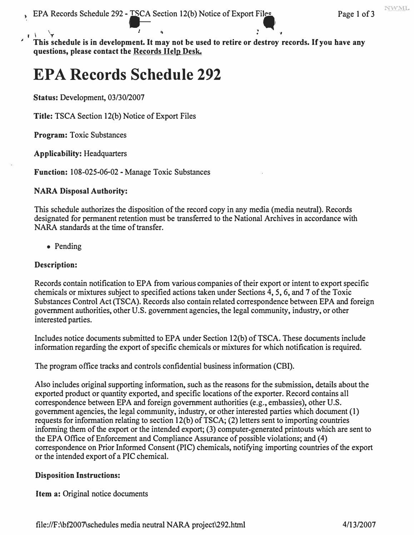J

• ' '• • *,,* , I T *<sup>1</sup>***This schedule is in development. It may not be used to retire or destroy records. If you have any questions, please contact the Records Help Desk.** 

# **EPA Records Schedule 292**

**Status:** Development, 03/30/2007

**Title:** TSCA Section 12(b) Notice of Export Files

**Program:** Toxic Substances

**Applicability:** Headquarters

**Function:** 108-025-06-02 - Manage Toxic Substances

### **NARA Disposal Authority:**

This schedule authorizes the disposition of the record copy in any media (media neutral). Records designated for permanent retention must be transferred to the National Archives in accordance with NARA standards at the time of transfer.

• Pending

### **Description:**

Records contain notification to EPA from various companies of their export or intent to export specific chemicals or mixtures subject to specified actions taken under Sections 4, 5, 6, and 7 of the Toxic Substances Control Act (TSCA). Records also contain related correspondence between EPA and foreign government authorities, other U.S. government agencies, the legal community, industry, or other interested parties.

Includes notice documents submitted to EPA under Section 12(b) of TSCA. These documents include information regarding the export of specific chemicals or mixtures for which notification is required.

The program office tracks and controls confidential business information (CBI).

exported product or quantity exported, and specific locations of the exporter. Record contains all Also includes original supporting information, such as the reasons for the submission, details about the correspondence between EPA and foreign government authorities (e.g., embassies), other U.S. government agencies, the legal community, industry, or other interested parties which document (1) requests for information relating to section  $12(b)$  of TSCA; (2) letters sent to importing countries informing them of the export or the intended export; (3) computer-generated printouts which are sent to the EPA Office of Enforcement and Compliance Assurance of possible violations; and (4) correspondence on Prior Informed Consent (PIC) chemicals, notifying importing countries of the export or the intended export of a PIC chemical.

### **Disposition Instructions:**

**Item a:** Original notice documents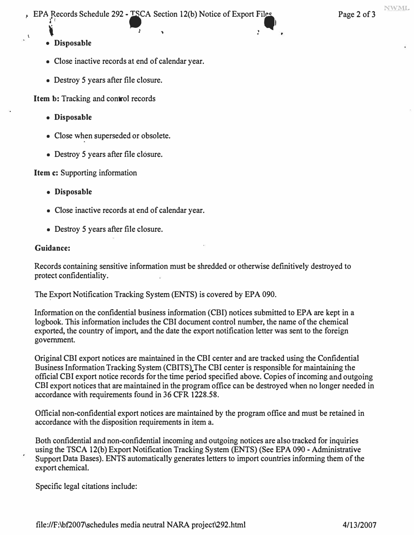EPA Records Schedule 292 - TSCA Section 12(b) Notice of Export Files Page 2 of 3

 $\mathbf{N}$  , we have the set of  $\mathbf{N}$ . The contract of the contract of the contract of the contract of the contract of the contract of the contract of the contract of the contract of the contract of the contract of the contract of the contract of the contrac **• Disposable** 

**\i**

- Close inactive records at end of calendar year.
- Destroy 5 years after file closure.

**Item b:** Tracking and control records

- **Disposable**
- Close when superseded or obsolete.
- Destroy 5 years after file closure.

**Item c:** Supporting information

- **Disposable**
- Close inactive records at end of calendar year.
- Destroy 5 years after file closure.

## **Guidance:**

Records containing sensitive information must be shredded or otherwise definitively destroyed to protect confidentiality.

The Export Notification Tracking System (ENTS) is covered by EPA 090.

Information on the confidential business information (CBI) notices submitted to EPA are kept in a logbook. This information includes the CBI document control number, the name of the chemical exported, the country of import, and the date the export notification letter was sent to the foreign government.

Original CBI export notices are maintained in the CBI center and are tracked using the Confidential Business Information Tracking System (CBITS). The CBI center is responsible for maintaining the official CBI export notice records for the time period specified above. Copies of incoming and outgoing CBI export notices that are maintained in the program office can be destroyed when no longer needed in accordance with requirements found in 36 CFR 1228.58.

Official non-confidential export notices are maintained by the program office and must be retained in accordance with the disposition requirements in item a.

Both confidential and non-confidential incoming and outgoing notices are also tracked for inquiries using the TSCA 12(b) Export Notification Tracking System (ENTS) (See EPA 090 - Administrative Support Data Bases). ENTS automatically generates letters to import countries informing them of the export chemical.

Specific legal citations include: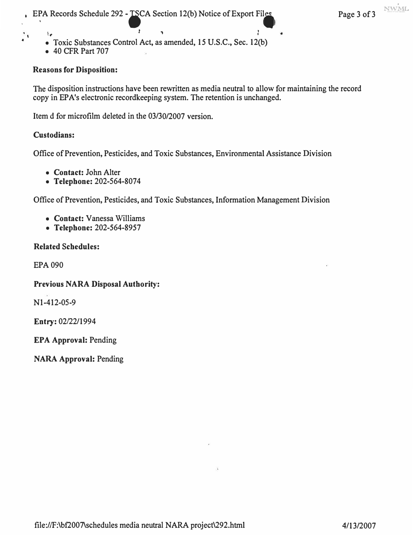- **Toxic Substances Control Act, as amended, 15 U.S.C., Sec. 12(b)**   $\lambda_{\bullet}$
- **40 CFR Part 707**

### **Reasons for Disposition:**

**The disposition instructions have been rewritten as media neutral to allow for maintaining the record copy in EP A's electronic recordkeeping system. The retention is unchanged.** 

*<sup>1</sup>*, J

**Item d for microfilm deleted in the 03/30/2007 version.** 

### **Custodians:**

 $\ddot{\cdot}$ 

**Office of Prevention, Pesticides, and Toxic Substances, Environmental Assistance Division** 

- **Contact: John Alter**
- **Telephone: 202-564-8074**

**Office of Prevention, Pesticides, and Toxic Substances, Information Management Division** 

- **Contact: Vanessa Williams**
- **Telephone: 202-564-8957**

### **Related Schedules:**

**EPA 090** 

**Previous NARA Disposal Authority:** 

**N 1-412-05-9** 

**Entry: 02/22/1994** 

**EPA Approval: Pending** 

**NARA Approval: Pending**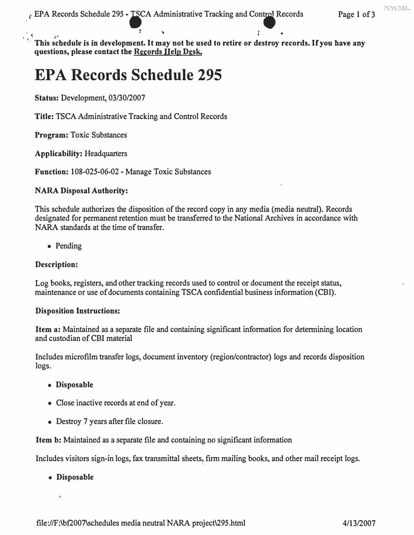NWML

**r " 1 •** I � /�• This schedule is in development. It may not be used to retire or destroy records. If you have any **questions, please contact the Records Help Desk.** 

# **EPA Records Schedule 295**

**Status: Development, 03/30/2007** 

**Title: TSCA Administrative Tracking and Control Records** 

**Program: Toxic Substances** 

**Applicability: Headquarters** 

**Function: 108-025-06-02 - Manage Toxic Substances** 

#### **NARA Disposal Authority:**

**This schedule authorizes the disposition of the record copy in any media (media neutral). Records designated for permanent retention must be transferred to the National Archives in accordance with NARA standards at the time of transfer.** 

**• Pending** 

#### **Description:**

**Log books, registers, and other tracking records used to control or document the receipt status, maintenance or use of documents containing TSCA confidential business information (CBI).** 

#### **Disposition Instructions:**

**Item a: Maintained as a separate file and containing significant information for determining location and custodian of CBI material** 

**Includes microfilm transfer logs, document inventory (region/contractor) logs and records disposition logs.** 

- **Disposable**
- **Close inactive records at end of year.**
- **Destroy 7 years after file closure.**

**Item b: Maintained as a separate file and containing no significant information** 

Includes visitors sign-in logs, fax transmittal sheets, firm mailing books, and other mail receipt logs.

**• Disposable**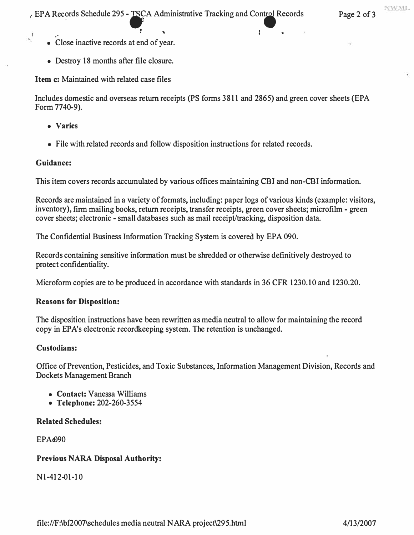NWML

- *:* .. *: ' 1*  **• Close inactive records at end of year.**
- **Destroy 18 months after file closure.**

**Item c: Maintained with related case files** 

**Includes domestic and overseas return receipts (PS forms 3811 and 2865) and green cover sheets (EPA Form 7740-9).** 

- **Varies**
- **File with related records and follow disposition instructions for related records.**

## **Guidance:**

 $\cdot$ <sup>1</sup>

**This item covers records accwnulated by various offices maintaining CBI and non-CBI information.** 

**Records are maintained in a variety of formats, including: paper logs of various kinds (example: visitors, inventory), firm mailing books, return receipts, transfer receipts, green cover sheets; microfilm - green cover sheets; electronic - small databases such as mail receipt/tracking, disposition data.** 

**The Confidential Business Information Tracking System is covered by EPA 090.** 

**Records containing sensitive information must be shredded or otherwise definitively destroyed to protect confidentiality.** 

**Microform copies are to be produced in accordance with standards in 36 CFR 1230.10 and 1230.20.** 

## **Reasons for Disposition:**

**The disposition instructions have been rewritten as media neutral to allow for maintaining the record copy in EP A's electronic recordkeeping system. The retention is unchanged.** 

## **Custodians:**

**Office of Prevention, Pesticides, and Toxic Substances, Information Management Division, Records and Dockets Management Branch** 

- **Contact: Vanessa Williams**
- **Telephone: 202-260-3554**

## **Related Schedules:**

**EPAe090** 

## **Previous NARA Disposal Authority:**

**Nl-412-01-10**